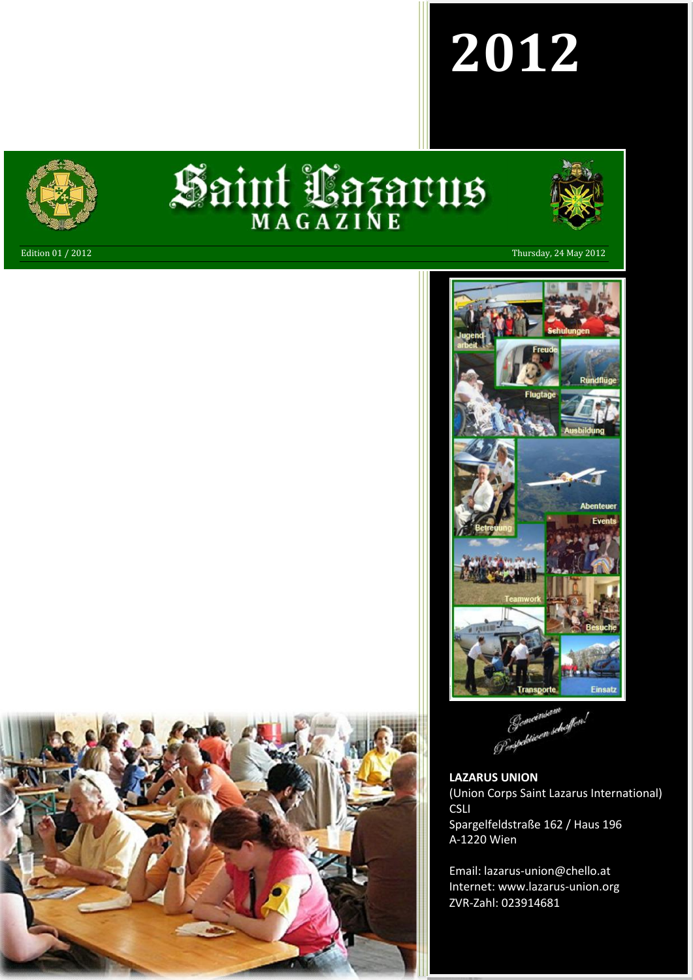# **2012**



# Saint Lazarus



Edition 01 / 2012 Thursday, 24 May 2012



Gemeinsam<br>Perpetiwen schaffen!

**LAZARUS UNION** (Union Corps Saint Lazarus International) CSLI Spargelfeldstraße 162 / Haus 196 A-1220 Wien

Email: lazarus-union@chello.at Internet: www.lazarus-union.org ZVR-Zahl: 023914681

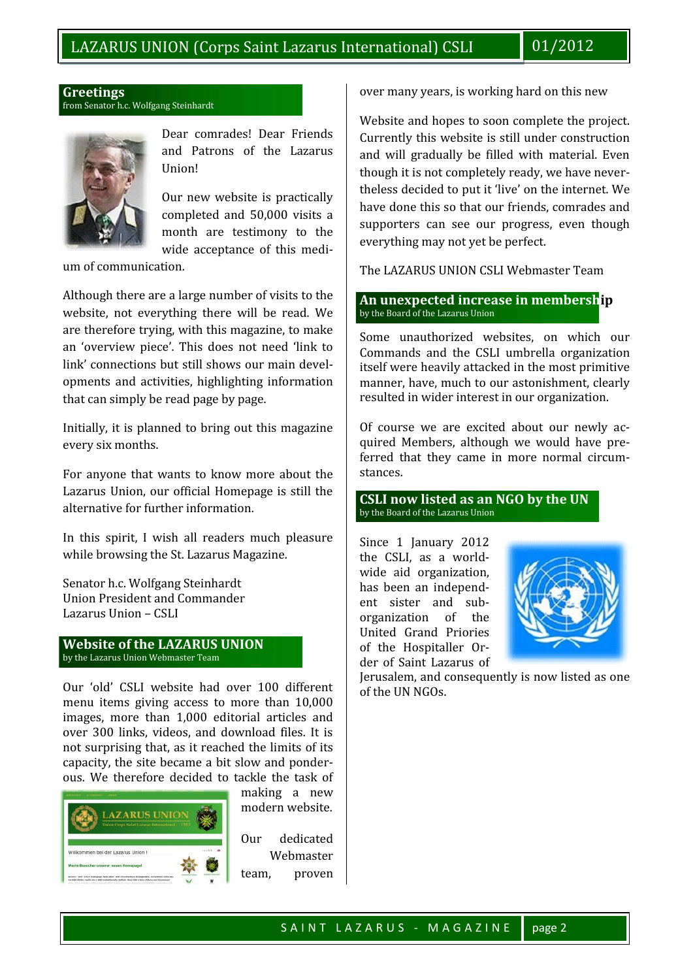# **Greetings** from Senator h.c. Wolfgang Steinhardt



Dear comrades! Dear Friends and Patrons of the Lazarus Union!

Our new website is practically completed and 50,000 visits a month are testimony to the wide acceptance of this medi-

um of communication.

Although there are a large number of visits to the website, not everything there will be read. We are therefore trying, with this magazine, to make an 'overview piece'. This does not need 'link to link' connections but still shows our main developments and activities, highlighting information that can simply be read page by page.

Initially, it is planned to bring out this magazine every six months.

For anyone that wants to know more about the Lazarus Union, our official Homepage is still the alternative for further information.

In this spirit, I wish all readers much pleasure while browsing the St. Lazarus Magazine.

Senator h.c. Wolfgang Steinhardt Union President and Commander Lazarus Union – CSLI

# **Website of the LAZARUS UNION** by the Lazarus Union Webmaster Team

Our 'old' CSLI website had over 100 different menu items giving access to more than 10,000 images, more than 1,000 editorial articles and over 300 links, videos, and download files. It is not surprising that, as it reached the limits of its capacity, the site became a bit slow and ponderous. We therefore decided to tackle the task of



making a new modern website.

Our dedicated Webmaster team, proven over many years, is working hard on this new

Website and hopes to soon complete the project. Currently this website is still under construction and will gradually be filled with material. Even though it is not completely ready, we have nevertheless decided to put it 'live' on the internet. We have done this so that our friends, comrades and supporters can see our progress, even though everything may not yet be perfect.

The LAZARUS UNION CSLI Webmaster Team

**An unexpected increase in membership** by the Board of the Lazarus Union

Some unauthorized websites, on which our Commands and the CSLI umbrella organization itself were heavily attacked in the most primitive manner, have, much to our astonishment, clearly resulted in wider interest in our organization.

Of course we are excited about our newly acquired Members, although we would have preferred that they came in more normal circumstances.

**CSLI now listed as an NGO by the UN** by the Board of the Lazarus Union

Since 1 January 2012 the CSLI, as a worldwide aid organization, has been an independent sister and sub organization of the United Grand Priories of the Hospitaller Order of Saint Lazarus of



Jerusalem, and consequently is now listed as one of the UN NGOs.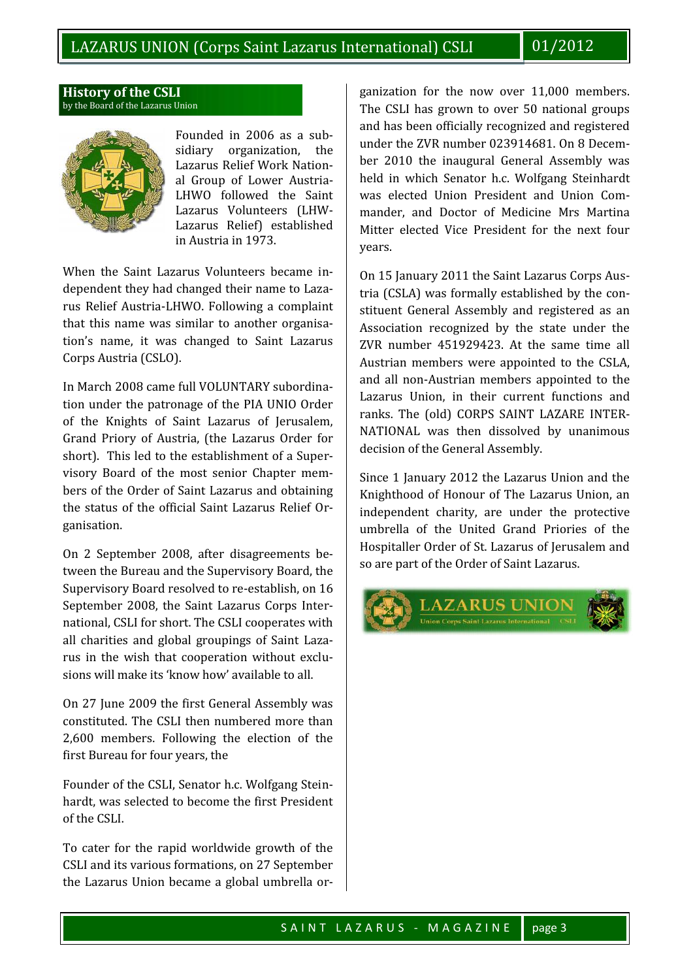# **History of the CSLI** by the Board of the Lazarus Union



Founded in 2006 as a sub-<br>sidiary organization. the sidiary organization. Lazarus Relief Work National Group of Lower Austria- LHWO followed the Saint Lazarus Volunteers (LHW- Lazarus Relief) established in Austria in 1973.

When the Saint Lazarus Volunteers became independent they had changed their name to Lazarus Relief Austria-LHWO. Following a complaint that this name was similar to another organisation's name, it was changed to Saint Lazarus Corps Austria (CSLO).

In March 2008 came full VOLUNTARY subordination under the patronage of the PIA UNIO Order of the Knights of Saint Lazarus of Jerusalem, Grand Priory of Austria, (the Lazarus Order for short). This led to the establishment of a Supervisory Board of the most senior Chapter members of the Order of Saint Lazarus and obtaining the status of the official Saint Lazarus Relief Organisation.

On 2 September 2008, after disagreements between the Bureau and the Supervisory Board, the Supervisory Board resolved to re-establish, on 16 September 2008, the Saint Lazarus Corps International, CSLI for short. The CSLI cooperates with all charities and global groupings of Saint Lazarus in the wish that cooperation without exclusions will make its 'know how' available to all.

On 27 June 2009 the first General Assembly was constituted. The CSLI then numbered more than 2,600 members. Following the election of the first Bureau for four years, the

Founder of the CSLI, Senator h.c. Wolfgang Steinhardt, was selected to become the first President of the CSLI.

To cater for the rapid worldwide growth of the CSLI and its various formations, on 27 September the Lazarus Union became a global umbrella or-

ganization for the now over 11,000 members. The CSLI has grown to over 50 national groups and has been officially recognized and registered under the ZVR number 023914681. On 8 December 2010 the inaugural General Assembly was held in which Senator h.c. Wolfgang Steinhardt was elected Union President and Union Commander, and Doctor of Medicine Mrs Martina Mitter elected Vice President for the next four years.

On 15 January 2011 the Saint Lazarus Corps Austria (CSLA) was formally established by the constituent General Assembly and registered as an Association recognized by the state under the ZVR number 451929423. At the same time all Austrian members were appointed to the CSLA, and all non-Austrian members appointed to the Lazarus Union, in their current functions and ranks. The (old) CORPS SAINT LAZARE INTER-NATIONAL was then dissolved by unanimous decision of the General Assembly.

Since 1 January 2012 the Lazarus Union and the Knighthood of Honour of The Lazarus Union, an independent charity, are under the protective umbrella of the United Grand Priories of the Hospitaller Order of St. Lazarus of Jerusalem and so are part of the Order of Saint Lazarus.

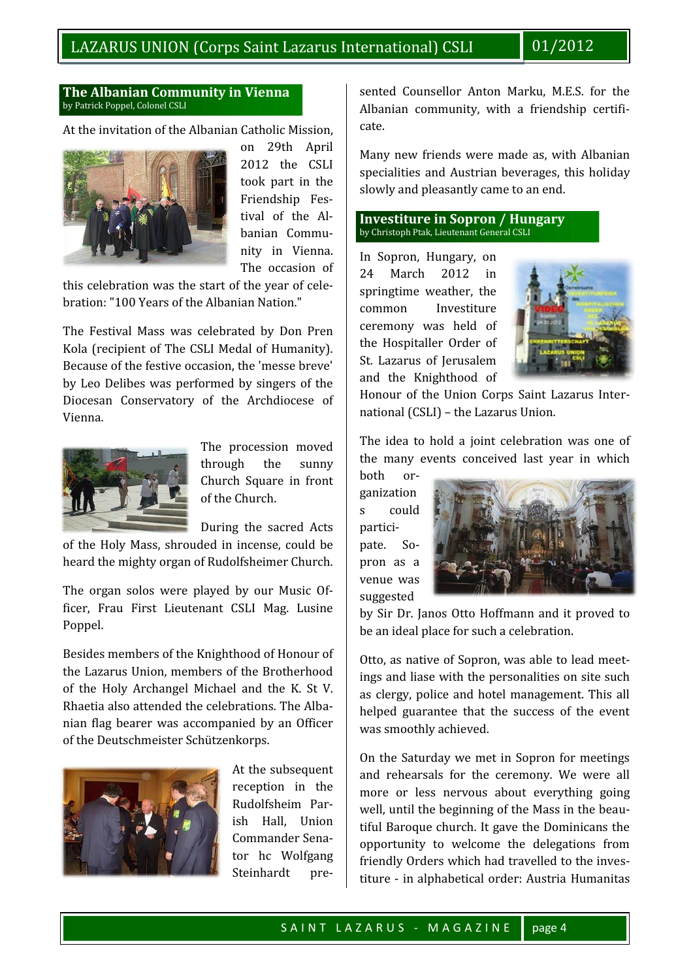# **The Albanian Community in Vienna** by Patrick Poppel, Colonel CSLI

At the invitation of the Albanian Catholic Mission,



on 29th April 2012 the CSLI took part in the Friendship Festival of the Albanian Community in Vienna. The occasion of  $\begin{bmatrix} 24 \end{bmatrix}$ 

this celebration was the start of the year of celebration: "100 Years of the Albanian Nation."

The Festival Mass was celebrated by Don Pren Kola (recipient of The CSLI Medal of Humanity). Because of the festive occasion, the 'messe breve' by Leo Delibes was performed by singers of the Diocesan Conservatory of the Archdiocese of Vienna.



The procession moved through the sunny Church Square in front of the Church.

During the sacred Acts

of the Holy Mass, shrouded in incense, could be heard the mighty organ of Rudolfsheimer Church.

The organ solos were played by our Music Officer, Frau First Lieutenant CSLI Mag. Lusine Poppel.

Besides members of the Knighthood of Honour of the Lazarus Union, members of the Brotherhood of the Holy Archangel Michael and the K. St V. Rhaetia also attended the celebrations. The Albanian flag bearer was accompanied by an Officer of the Deutschmeister Schützenkorps.



At the subsequent reception in the Rudolfsheim Parish Hall, Union Commander Senator hc Wolfgang Steinhardt presented Counsellor Anton Marku, M.E.S. for the Albanian community, with a friendship certificate.

Many new friends were made as, with Albanian specialities and Austrian beverages, this holiday slowly and pleasantly came to an end.

# **Investiture in Sopron / Hungary** by Christoph Ptak, Lieutenant General CSLI

In Sopron, Hungary, on March 2012 in springtime weather, the common Investiture ceremony was held of the Hospitaller Order of St. Lazarus of Jerusalem and the Knighthood of



Honour of the Union Corps Saint Lazarus International (CSLI) – the Lazarus Union.

The idea to hold a joint celebration was one of the many events conceived last year in which

both organization s could participate. Sopron as a venue was suggested



by Sir Dr. Janos Otto Hoffmann and it proved to be an ideal place for such a celebration.

Otto, as native of Sopron, was able to lead meetings and liase with the personalities on site such as clergy, police and hotel management. This all helped guarantee that the success of the event was smoothly achieved.

Wolfgang friendly Orders which had travelled to the inv<br>dt pre- titure - in alphabetical order: Austria Humani<br>SAINT LAZARUS - MAGAZINE page 4 On the Saturday we met in Sopron for meetings and rehearsals for the ceremony. We were all more or less nervous about everything going well, until the beginning of the Mass in the beautiful Baroque church. It gave the Dominicans the opportunity to welcome the delegations from friendly Orders which had travelled to the investiture - in alphabetical order: Austria Humanitas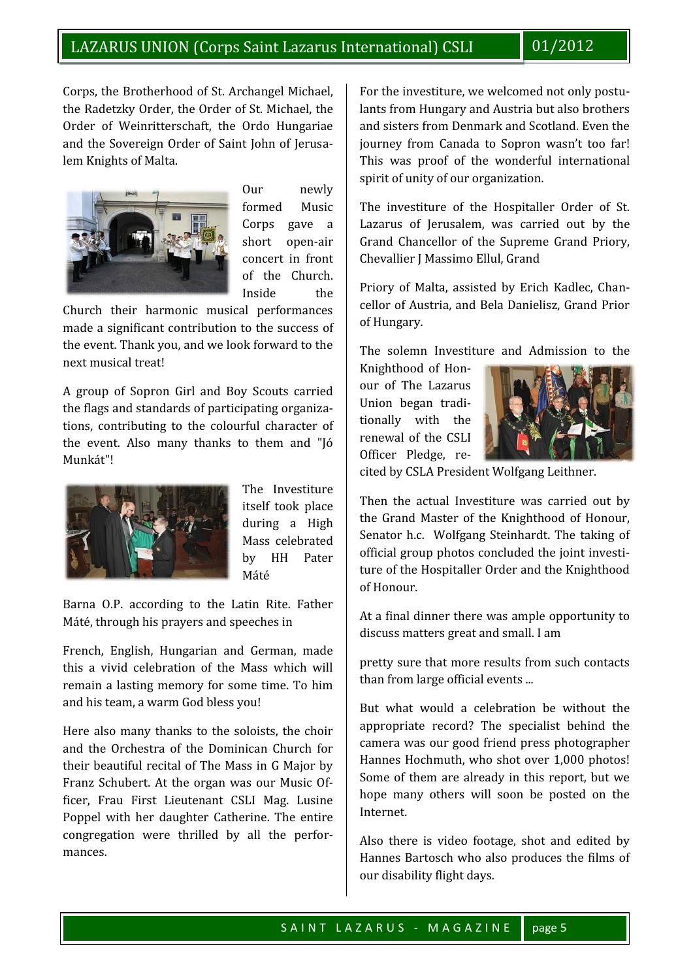Corps, the Brotherhood of St. Archangel Michael, the Radetzky Order, the Order of St. Michael, the Order of Weinritterschaft, the Ordo Hungariae and the Sovereign Order of Saint John of Jerusalem Knights of Malta.



Our newly formed Music Corps gave a short open-air concert in front of the Church. Inside the

Church their harmonic musical performances made a significant contribution to the success of the event. Thank you, and we look forward to the next musical treat!

A group of Sopron Girl and Boy Scouts carried the flags and standards of participating organizations, contributing to the colourful character of the event. Also many thanks to them and "Jó Munkát"!



The Investiture itself took place during a High Mass celebrated by HH Pater Máté

Barna O.P. according to the Latin Rite. Father Máté, through his prayers and speeches in

French, English, Hungarian and German, made this a vivid celebration of the Mass which will remain a lasting memory for some time. To him and his team, a warm God bless you!

Here also many thanks to the soloists, the choir and the Orchestra of the Dominican Church for their beautiful recital of The Mass in G Major by Franz Schubert. At the organ was our Music Officer, Frau First Lieutenant CSLI Mag. Lusine Poppel with her daughter Catherine. The entire congregation were thrilled by all the performances.

For the investiture, we welcomed not only postulants from Hungary and Austria but also brothers and sisters from Denmark and Scotland. Even the journey from Canada to Sopron wasn't too far! This was proof of the wonderful international spirit of unity of our organization.

The investiture of the Hospitaller Order of St. Lazarus of Jerusalem, was carried out by the Grand Chancellor of the Supreme Grand Priory, Chevallier J Massimo Ellul, Grand

Priory of Malta, assisted by Erich Kadlec, Chancellor of Austria, and Bela Danielisz, Grand Prior of Hungary.

The solemn Investiture and Admission to the

Knighthood of Honour of The Lazarus Union began traditionally with the renewal of the CSLI Officer Pledge, re-



cited by CSLA President Wolfgang Leithner.

Then the actual Investiture was carried out by the Grand Master of the Knighthood of Honour, Senator h.c. Wolfgang Steinhardt. The taking of official group photos concluded the joint investiture of the Hospitaller Order and the Knighthood of Honour.

At a final dinner there was ample opportunity to discuss matters great and small. I am

pretty sure that more results from such contacts than from large official events ...

But what would a celebration be without the appropriate record? The specialist behind the camera was our good friend press photographer Hannes Hochmuth, who shot over 1,000 photos! Some of them are already in this report, but we hope many others will soon be posted on the Internet.

Hannes Bartosch who also produces the films<br>our disability flight days.<br>SAINT LAZARUS - MAGAZINE page 5 Also there is video footage, shot and edited by Hannes Bartosch who also produces the films of our disability flight days.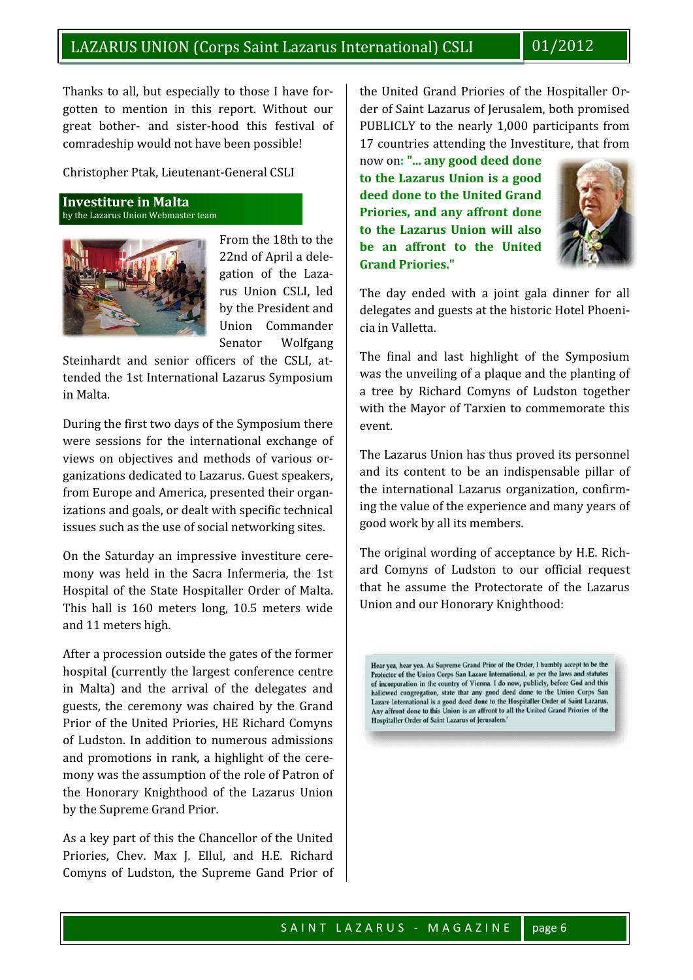Thanks to all, but especially to those I have forgotten to mention in this report. Without our great bother- and sister-hood this festival of comradeship would not have been possible!

Christopher Ptak, Lieutenant-General CSLI

**Investiture in Malta** by the Lazarus Union Webmaster team



From the 18th to the 22nd of April a delegation of the Lazarus Union CSLI, led by the President and Union Commander Senator Wolfgang

Steinhardt and senior officers of the CSLI, attended the 1st International Lazarus Symposium in Malta.

During the first two days of the Symposium there were sessions for the international exchange of views on objectives and methods of various organizations dedicated to Lazarus. Guest speakers, from Europe and America, presented their organizations and goals, or dealt with specific technical issues such as the use of social networking sites.

On the Saturday an impressive investiture ceremony was held in the Sacra Infermeria, the 1st Hospital of the State Hospitaller Order of Malta. This hall is 160 meters long, 10.5 meters wide and 11 meters high.

After a procession outside the gates of the former<br>
Hear yea, hear yea. As Supreme Grand Prior of the Order, I humbly accept to be the hospital (currently the largest conference centre<br>in Protector of the Union Corps San Lazare International, as per the laws and statutes<br>of incorporation in the country of Vienna. I do now, publicly, before God and this in Malta) and the arrival of the delegates and<br>guests, the ceremony was chaired by the Grand<br>axare International is a good deed done to the Hospitaller Order of Saint Lazarus.<br>Any affront done to this Union is an affront t guests, the ceremony was chaired by the Grand<br>Drien of the United Drienies HF Bichard Comune<br>Mospitaller Order of Saint Lazarus of Jerusalem. Prior of the United Priories, HE Richard Comyns of Ludston. In addition to numerous admissions and promotions in rank, a highlight of the ceremony was the assumption of the role of Patron of the Honorary Knighthood of the Lazarus Union by the Supreme Grand Prior.

As a key part of this the Chancellor of the United Priories, Chev. Max J. Ellul, and H.E. Richard Comyns of Ludston, the Supreme Gand Prior of the United Grand Priories of the Hospitaller Order of Saint Lazarus of Jerusalem, both promised PUBLICLY to the nearly 1,000 participants from 17 countries attending the Investiture, that from

now on**: "... any good deed done to the Lazarus Union is a good deed done to the United Grand Priories, and any affront done to the Lazarus Union will also be an affront to the United Grand Priories."**



The day ended with a joint gala dinner for all delegates and guests at the historic Hotel Phoenicia in Valletta.

The final and last highlight of the Symposium was the unveiling of a plaque and the planting of a tree by Richard Comyns of Ludston together with the Mayor of Tarxien to commemorate this event.

The Lazarus Union has thus proved its personnel and its content to be an indispensable pillar of the international Lazarus organization, confirming the value of the experience and many years of good work by all its members.

The original wording of acceptance by H.E. Richard Comyns of Ludston to our official request that he assume the Protectorate of the Lazarus Union and our Honorary Knighthood: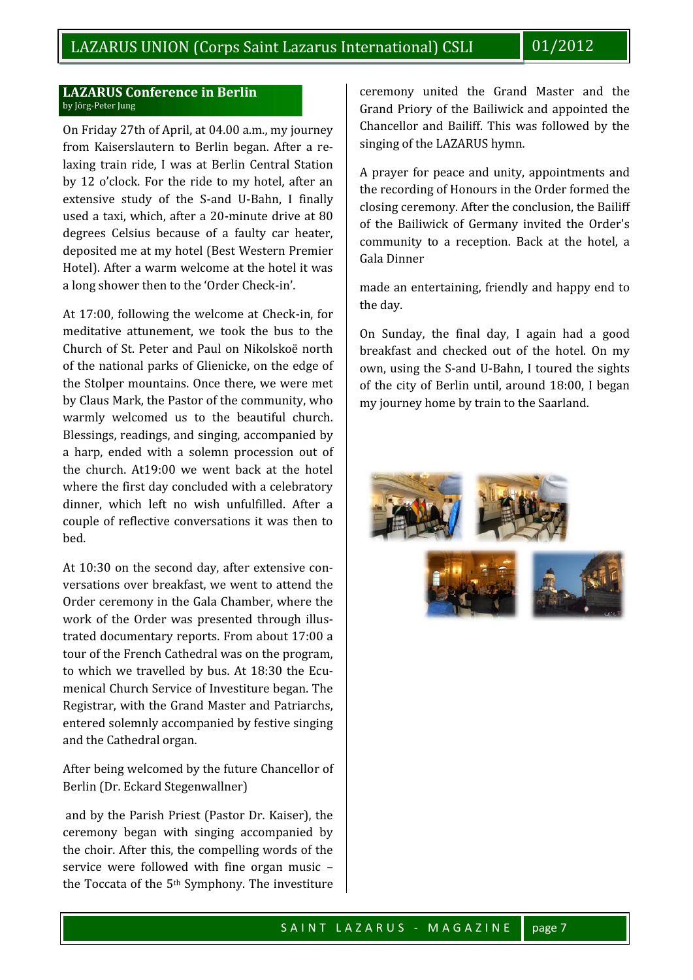# **LAZARUS Conference in Berlin** by Jörg-Peter Jung

On Friday 27th of April, at 04.00 a.m., my journey from Kaiserslautern to Berlin began. After a relaxing train ride, I was at Berlin Central Station by 12 o'clock. For the ride to my hotel, after an extensive study of the S-and U-Bahn, I finally used a taxi, which, after a 20-minute drive at 80 degrees Celsius because of a faulty car heater, deposited me at my hotel (Best Western Premier Hotel). After a warm welcome at the hotel it was a long shower then to the 'Order Check-in'.

At 17:00, following the welcome at Check-in, for meditative attunement, we took the bus to the Church of St. Peter and Paul on Nikolskoë north of the national parks of Glienicke, on the edge of the Stolper mountains. Once there, we were met by Claus Mark, the Pastor of the community, who warmly welcomed us to the beautiful church. Blessings, readings, and singing, accompanied by a harp, ended with a solemn procession out of the church. At19:00 we went back at the hotel where the first day concluded with a celebratory dinner, which left no wish unfulfilled. After a couple of reflective conversations it was then to bed.

At 10:30 on the second day, after extensive conversations over breakfast, we went to attend the Order ceremony in the Gala Chamber, where the work of the Order was presented through illustrated documentary reports. From about 17:00 a tour of the French Cathedral was on the program, to which we travelled by bus. At 18:30 the Ecumenical Church Service of Investiture began. The Registrar, with the Grand Master and Patriarchs, entered solemnly accompanied by festive singing and the Cathedral organ.

After being welcomed by the future Chancellor of Berlin (Dr. Eckard Stegenwallner)

and by the Parish Priest (Pastor Dr. Kaiser), the ceremony began with singing accompanied by the choir. After this, the compelling words of the service were followed with fine organ music – the Toccata of the 5th Symphony. The investiture ceremony united the Grand Master and the Grand Priory of the Bailiwick and appointed the Chancellor and Bailiff. This was followed by the singing of the LAZARUS hymn.

A prayer for peace and unity, appointments and the recording of Honours in the Order formed the closing ceremony. After the conclusion, the Bailiff of the Bailiwick of Germany invited the Order's community to a reception. Back at the hotel, a Gala Dinner

made an entertaining, friendly and happy end to the day.

On Sunday, the final day, I again had a good breakfast and checked out of the hotel. On my own, using the S-and U-Bahn, I toured the sights of the city of Berlin until, around 18:00, I began my journey home by train to the Saarland.

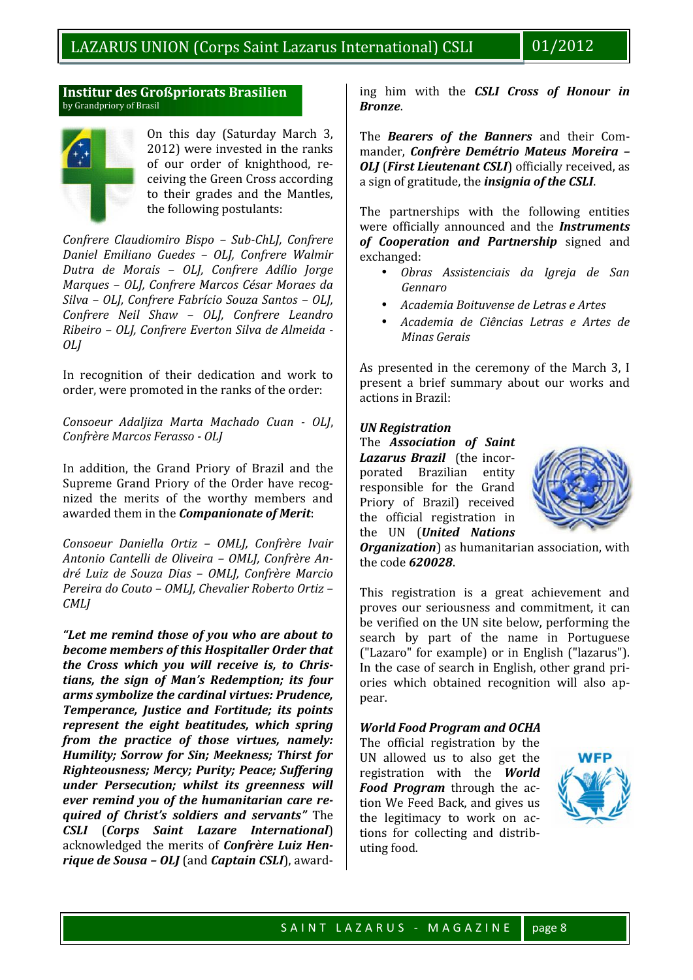# **Institur des Großpriorats Brasilien** by Grandpriory of Brasil



On this day (Saturday March 3, of our order of knighthood, receiving the Green Cross according to their grades and the Mantles, the following postulants:

*Confrere Claudiomiro Bispo – Sub-ChLJ, Confrere Daniel Emiliano Guedes – OLJ, Confrere Walmir Dutra de Morais – OLJ, Confrere Adílio Jorge Marques – OLJ, Confrere Marcos César Moraes da Silva – OLJ, Confrere Fabrício Souza Santos – OLJ, Confrere Neil Shaw – OLJ, Confrere Leandro Ribeiro – OLJ, Confrere Everton Silva de Almeida - OLJ*

In recognition of their dedication and work to order, were promoted in the ranks of the order:

*Consoeur Adaljiza Marta Machado Cuan - OLJ*, *Confrère Marcos Ferasso - OLJ*

In addition, the Grand Priory of Brazil and the Supreme Grand Priory of the Order have recognized the merits of the worthy members and awarded them in the *Companionate of Merit*:

*Consoeur Daniella Ortiz – OMLJ, Confrère Ivair Antonio Cantelli de Oliveira – OMLJ, Confrère André Luiz de Souza Dias – OMLJ, Confrère Marcio Pereira do Couto – OMLJ, Chevalier Roberto Ortiz – CMLJ*

*"Let me remind those of you who are about to become members of this Hospitaller Order that the Cross which you will receive is, to Christians, the sign of Man's Redemption; its four arms symbolize the cardinal virtues: Prudence, Temperance, Justice and Fortitude; its points represent the eight beatitudes, which spring from the practice of those virtues, namely: Humility; Sorrow for Sin; Meekness; Thirst for Righteousness; Mercy; Purity; Peace; Suffering under Persecution; whilst its greenness will ever remind you of the humanitarian care required of Christ's soldiers and servants"* The *CSLI* (*Corps Saint Lazare International*) acknowledged the merits of *Confrère Luiz Henrique de Sousa – OLJ* (and *Captain CSLI*), awarding him with the *CSLI Cross of Honour in Bronze*.

2012) were invested in the ranks  $\parallel$  mander, *Confrère Demétrio Mateus Moreira –* The *Bearers of the Banners* and their Com-*OLJ* (*First Lieutenant CSLI*) officially received, as a sign of gratitude, the *insignia of the CSLI*.

> The partnerships with the following entities were officially announced and the *Instruments of Cooperation and Partnership* signed and

- exchanged: *Obras Assistenciais da Igreja de San Gennaro*
- *Academia Boituvense de Letras e Artes*
- *Academia de Ciências Letras e Artes de Minas Gerais*

As presented in the ceremony of the March 3, I present a brief summary about our works and actions in Brazil:

# *UN Registration*

The *Association of Saint Lazarus Brazil* (the incorporated Brazilian entity responsible for the Grand Priory of Brazil) received the official registration in the UN (*United Nations*



*Organization*) as humanitarian association, with the code *620028*.

This registration is a great achievement and proves our seriousness and commitment, it can be verified on the UN site below, performing the search by part of the name in Portuguese ("Lazaro" for example) or in English ("lazarus"). In the case of search in English, other grand priories which obtained recognition will also appear.

# *World Food Program and OCHA*

The official registration by the UN allowed us to also get the registration with the *World Food Program* through the action We Feed Back, and gives us the legitimacy to work on actions for collecting and distributing food.

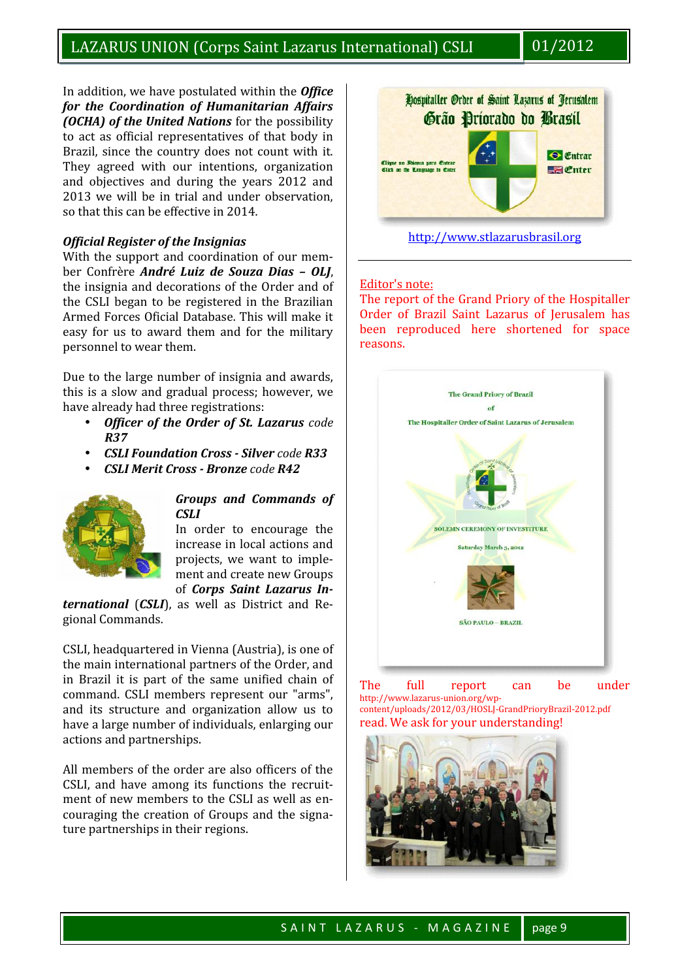In addition, we have postulated within the *Office for the Coordination of Humanitarian Affairs (OCHA) of the United Nations* for the possibility to act as official representatives of that body in Brazil, since the country does not count with it. They agreed with our intentions, organization and objectives and during the years 2012 and 2013 we will be in trial and under observation, so that this can be effective in 2014.

# *Official Register of the Insignias*

With the support and coordination of our member Confrère *André Luiz de Souza Dias - OLI*. the insignia and decorations of the Order and of the CSLI began to be registered in the Brazilian Armed Forces Oficial Database. This will make it easy for us to award them and for the military personnel to wear them.

Due to the large number of insignia and awards, this is a slow and gradual process; however, we have already had three registrations:

- Officer of the Order of St. Lazarus code *R37*
- *CSLI Foundation Cross - Silver code R33*
- *CSLI Merit Cross - Bronze code R42*



#### *Groups and Commands of CSLI*

In order to encourage the increase in local actions and projects, we want to implement and create new Groups of *Corps Saint Lazarus In-*

*ternational* (*CSLI*), as well as District and Regional Commands.

CSLI, headquartered in Vienna (Austria), is one of the main international partners of the Order, and in Brazil it is part of the same unified chain of  $\mathbb{R}$  The command. CSLI members represent our "arms", and its structure and organization allow us to have a large number of individuals, enlarging our actions and partnerships.

All members of the order are also officers of the CSLI, and have among its functions the recruitment of new members to the CSLI as well as encouraging the creation of Groups and the signature partnerships in their regions.



# Editor's note:

The report of the Grand Priory of the Hospitaller Order of Brazil Saint Lazarus of Jerusalem has been reproduced here shortened for space reasons.



The full report can be under http://www.lazarus-union.org/wp content/uploads/2012/03/HOSLJ-GrandPrioryBrazil-2012.pdf read. We ask for your understanding!

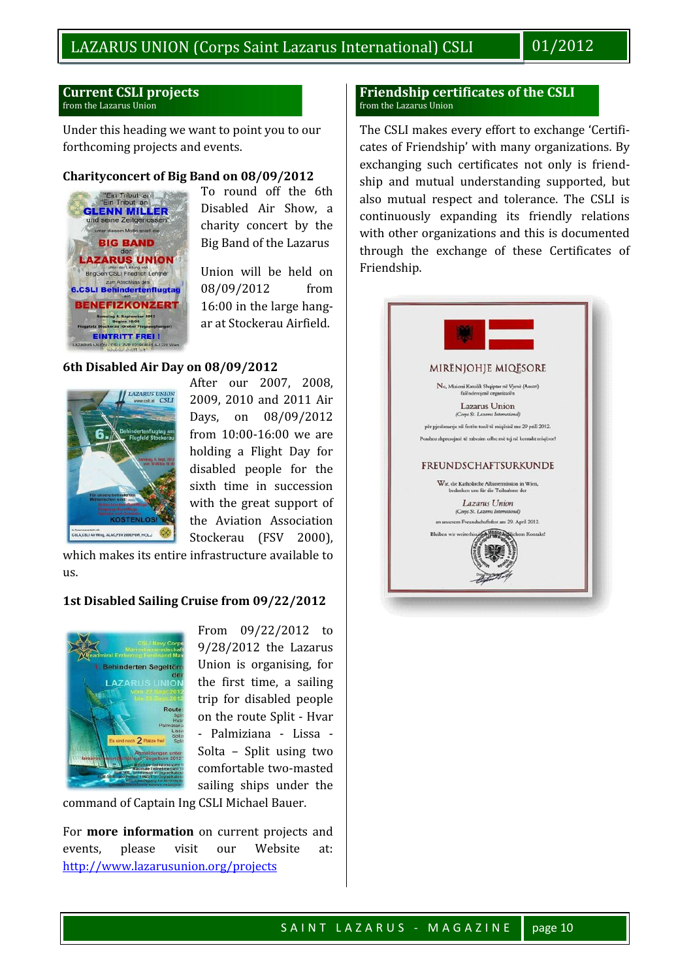#### **Current CSLI projects** from the Lazarus Union

Under this heading we want to point you to our forthcoming projects and events.

# **Charityconcert of Big Band on 08/09/2012**



To round off the 6th Disabled Air Show, a charity concert by the Big Band of the Lazarus

Union will be held on 08/09/2012 from 16:00 in the large hangar at Stockerau Airfield.

# **6th Disabled Air Day on 08/09/2012**



After our 2007, 2008, 2009, 2010 and 2011 Air Days, on 08/09/2012 from 10:00-16:00 we are holding a Flight Day for disabled people for the sixth time in succession with the great support of the Aviation Association Stockerau (FSV 2000),

which makes its entire infrastructure available to  $\overline{11S}$ 

# **1st Disabled Sailing Cruise from 09/22/2012**



From 09/22/2012 to 9/28/2012 the Lazarus Union is organising, for the first time, a sailing trip for disabled people on the route Split - Hvar - Palmiziana - Lissa - Solta – Split using two comfortable two-masted sailing ships under the

command of Captain Ing CSLI Michael Bauer.

For **more information** on current projects and events, please visit our Website at: http://www.lazarusunion.org/projects

#### **Friendship certificates of the CSLI** from the Lazarus Union

The CSLI makes every effort to exchange 'Certificates of Friendship' with many organizations. By exchanging such certificates not only is friendship and mutual understanding supported, but also mutual respect and tolerance. The CSLI is continuously expanding its friendly relations with other organizations and this is documented through the exchange of these Certificates of Friendship.

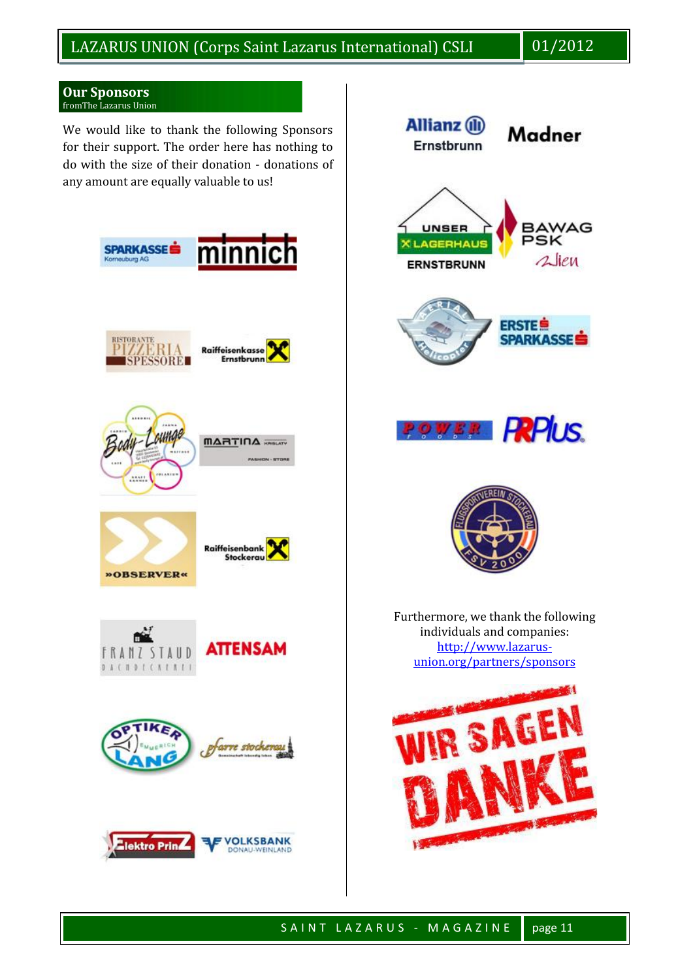#### **Our Sponsors** fromThe Lazarus Union

We would like to thank the following Sponsors for their support. The order here has nothing to do with the size of their donation - donations of any amount are equally valuable to us!